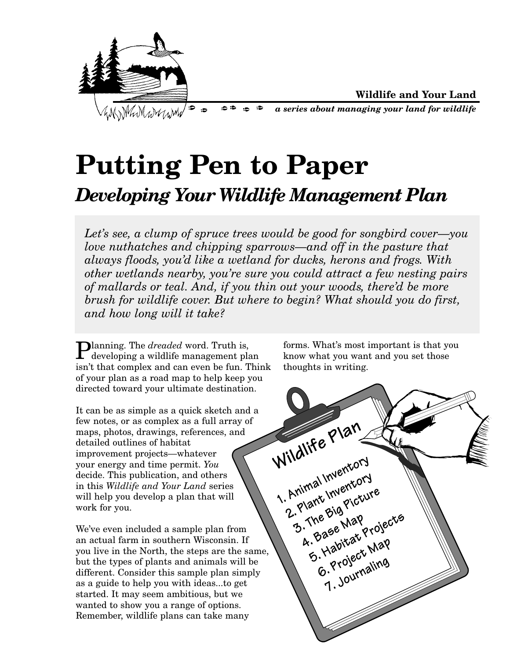

# **Putting Pen to Paper** *Developing Your Wildlife Management Plan*

*Let's see, a clump of spruce trees would be good for songbird cover—you love nuthatches and chipping sparrows—and off in the pasture that always floods, you'd like a wetland for ducks, herons and frogs. With other wetlands nearby, you're sure you could attract a few nesting pairs of mallards or teal. And, if you thin out your woods, there'd be more brush for wildlife cover. But where to begin? What should you do first, and how long will it take?*

**Planning.** The *dreaded* word. Truth is, developing a wildlife management plan isn't that complex and can even be fun. Think of your plan as a road map to help keep you directed toward your ultimate destination.

It can be as simple as a quick sketch and a few notes, or as complex as a full array of maps, photos, drawings, references, and detailed outlines of habitat improvement projects—whatever your energy and time permit. *You* decide. This publication, and others in this *Wildlife and Your Land* series will help you develop a plan that will work for you.

We've even included a sample plan from an actual farm in southern Wisconsin. If you live in the North, the steps are the same, but the types of plants and animals will be different. Consider this sample plan simply as a guide to help you with ideas...to get started. It may seem ambitious, but we wanted to show you a range of options. Remember, wildlife plans can take many

forms. What's most important is that you know what you want and you set those thoughts in writing.

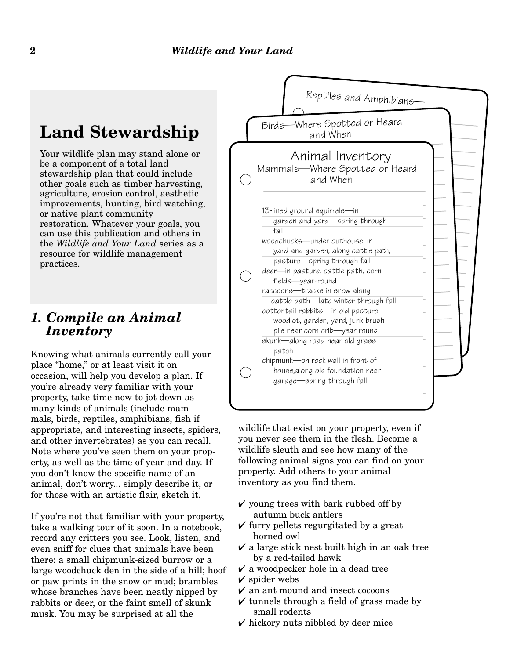## **Land Stewardship**

Your wildlife plan may stand alone or be a component of a total land stewardship plan that could include other goals such as timber harvesting, agriculture, erosion control, aesthetic improvements, hunting, bird watching, or native plant community restoration. Whatever your goals, you can use this publication and others in the *Wildlife and Your Land* series as a resource for wildlife management practices.

#### *1. Compile an Animal Inventory*

Knowing what animals currently call your place "home," or at least visit it on occasion, will help you develop a plan. If you're already very familiar with your property, take time now to jot down as many kinds of animals (include mammals, birds, reptiles, amphibians, fish if appropriate, and interesting insects, spiders, and other invertebrates) as you can recall. Note where you've seen them on your property, as well as the time of year and day. If you don't know the specific name of an animal, don't worry... simply describe it, or for those with an artistic flair, sketch it.

If you're not that familiar with your property, take a walking tour of it soon. In a notebook, record any critters you see. Look, listen, and even sniff for clues that animals have been there: a small chipmunk-sized burrow or a large woodchuck den in the side of a hill; hoof or paw prints in the snow or mud; brambles whose branches have been neatly nipped by rabbits or deer, or the faint smell of skunk musk. You may be surprised at all the



wildlife that exist on your property, even if you never see them in the flesh. Become a wildlife sleuth and see how many of the following animal signs you can find on your property. Add others to your animal inventory as you find them.

- $\checkmark$  young trees with bark rubbed off by autumn buck antlers
- $\checkmark$  furry pellets regurgitated by a great horned owl
- $\vee$  a large stick nest built high in an oak tree by a red-tailed hawk
- $\checkmark$  a woodpecker hole in a dead tree
- $\boldsymbol{\mathsf{v}}$  spider webs
- $\checkmark$  an ant mound and insect cocoons
- $\checkmark$  tunnels through a field of grass made by small rodents
- $\checkmark$  hickory nuts nibbled by deer mice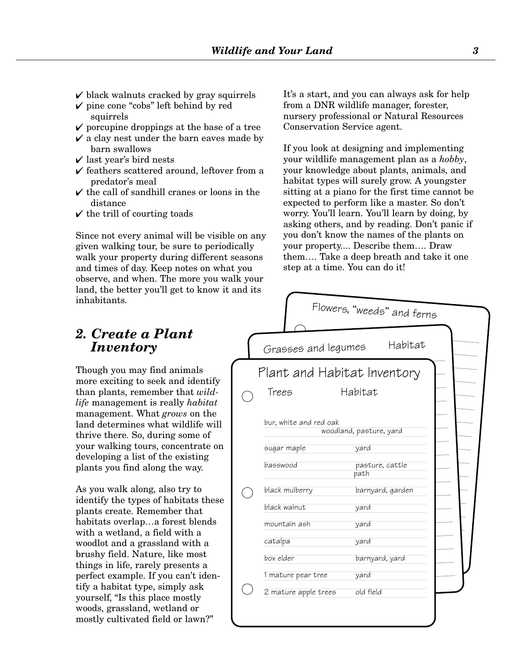- $\checkmark$  black walnuts cracked by gray squirrels
- $\checkmark$  pine cone "cobs" left behind by red squirrels
- $\checkmark$  porcupine droppings at the base of a tree
- $\checkmark$  a clay nest under the barn eaves made by barn swallows
- $\checkmark$  last year's bird nests
- $\checkmark$  feathers scattered around, leftover from a predator's meal
- $\checkmark$  the call of sandhill cranes or loons in the distance
- $\checkmark$  the trill of courting toads

Since not every animal will be visible on any given walking tour, be sure to periodically walk your property during different seasons and times of day. Keep notes on what you observe, and when. The more you walk your land, the better you'll get to know it and it inhabitants.

#### *2. Create a Plant Inventory*

Though you may find animals more exciting to seek and identify than plants, remember that *wildlife* management is really *habitat* management. What *grows* on the land determines what wildlife will thrive there. So, during some of your walking tours, concentrate on developing a list of the existing plants you find along the way.

As you walk along, also try to identify the types of habitats these plants create. Remember that habitats overlap…a forest blends with a wetland, a field with a woodlot and a grassland with a brushy field. Nature, like most things in life, rarely presents a perfect example. If you can't identify a habitat type, simply ask yourself, "Is this place mostly woods, grassland, wetland or mostly cultivated field or lawn?"

It's a start, and you can always ask for help from a DNR wildlife manager, forester, nursery professional or Natural Resources Conservation Service agent.

If you look at designing and implementing your wildlife management plan as a *hobby*, your knowledge about plants, animals, and habitat types will surely grow. A youngster sitting at a piano for the first time cannot be expected to perform like a master. So don't worry. You'll learn. You'll learn by doing, by asking others, and by reading. Don't panic if you don't know the names of the plants on your property.... Describe them…. Draw them…. Take a deep breath and take it one step at a time. You can do it!

|                                       | Flowers, "weeds" and ferns      |
|---------------------------------------|---------------------------------|
| Grasses and legumes                   | Habitat                         |
| Plant and Habitat Inventory           |                                 |
| Trees                                 | Habitat                         |
| bur, white and red oak<br>sugar maple | woodland, pasture, yard<br>yard |
| basswood                              | pasture, cattle<br>path         |
| black mulberry                        | barnyard, garden                |
| black walnut                          | yard                            |
| mountain ash                          | yard                            |
| catalpa                               | yard                            |
| box elder                             | barnyard, yard                  |
| 1 mature pear tree                    | yard                            |
| 2 mature apple trees                  | old field                       |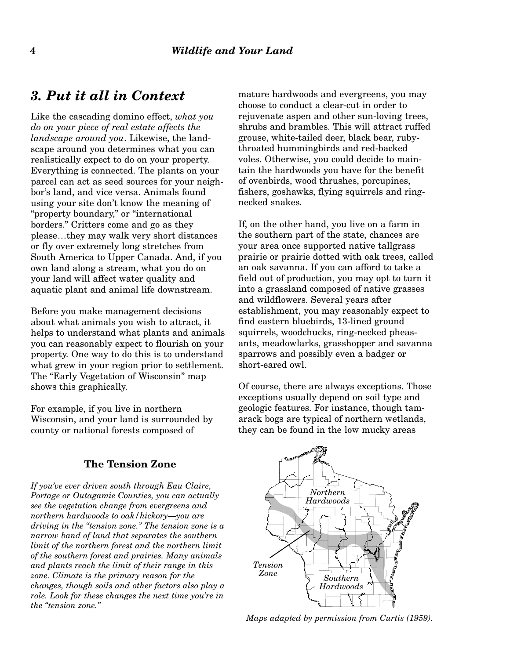#### *3. Put it all in Context*

Like the cascading domino effect, *what you do on your piece of real estate affects the landscape around you*. Likewise, the landscape around you determines what you can realistically expect to do on your property. Everything is connected. The plants on your parcel can act as seed sources for your neighbor's land, and vice versa. Animals found using your site don't know the meaning of "property boundary," or "international borders." Critters come and go as they please…they may walk very short distances or fly over extremely long stretches from South America to Upper Canada. And, if you own land along a stream, what you do on your land will affect water quality and aquatic plant and animal life downstream.

Before you make management decisions about what animals you wish to attract, it helps to understand what plants and animals you can reasonably expect to flourish on your property. One way to do this is to understand what grew in your region prior to settlement. The "Early Vegetation of Wisconsin" map shows this graphically.

For example, if you live in northern Wisconsin, and your land is surrounded by county or national forests composed of

#### **The Tension Zone**

*If you've ever driven south through Eau Claire, Portage or Outagamie Counties, you can actually see the vegetation change from evergreens and northern hardwoods to oak/hickory—you are driving in the "tension zone." The tension zone is a narrow band of land that separates the southern limit of the northern forest and the northern limit of the southern forest and prairies. Many animals and plants reach the limit of their range in this zone. Climate is the primary reason for the changes, though soils and other factors also play a role. Look for these changes the next time you're in the "tension zone."*

mature hardwoods and evergreens, you may choose to conduct a clear-cut in order to rejuvenate aspen and other sun-loving trees. shrubs and brambles. This will attract ruffed grouse, white-tailed deer, black bear, rubythroated hummingbirds and red-backed voles. Otherwise, you could decide to maintain the hardwoods you have for the benefit of ovenbirds, wood thrushes, porcupines, fishers, goshawks, flying squirrels and ringnecked snakes.

If, on the other hand, you live on a farm in the southern part of the state, chances are your area once supported native tallgrass prairie or prairie dotted with oak trees, called an oak savanna. If you can afford to take a field out of production, you may opt to turn it into a grassland composed of native grasses and wildflowers. Several years after establishment, you may reasonably expect to find eastern bluebirds, 13-lined ground squirrels, woodchucks, ring-necked pheasants, meadowlarks, grasshopper and savanna sparrows and possibly even a badger or short-eared owl.

Of course, there are always exceptions. Those exceptions usually depend on soil type and geologic features. For instance, though tamarack bogs are typical of northern wetlands, they can be found in the low mucky areas



*Maps adapted by permission from Curtis (1959).*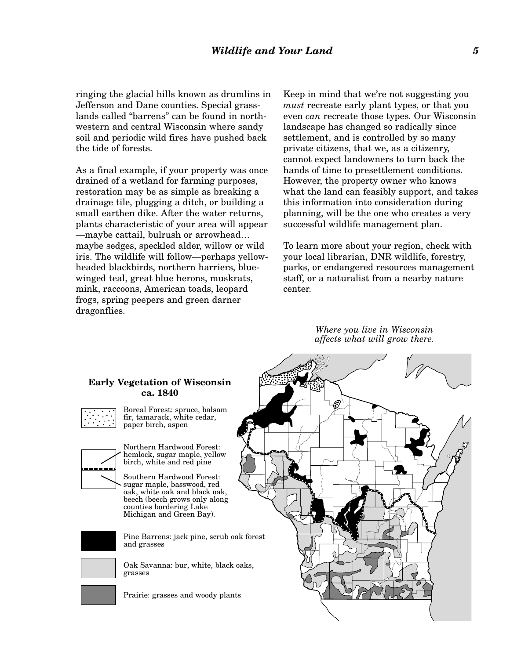ringing the glacial hills known as drumlins in Jefferson and Dane counties. Special grasslands called "barrens" can be found in northwestern and central Wisconsin where sandy soil and periodic wild fires have pushed back the tide of forests.

As a final example, if your property was once drained of a wetland for farming purposes, restoration may be as simple as breaking a drainage tile, plugging a ditch, or building a small earthen dike. After the water returns, plants characteristic of your area will appear —maybe cattail, bulrush or arrowhead… maybe sedges, speckled alder, willow or wild iris. The wildlife will follow—perhaps yellowheaded blackbirds, northern harriers, bluewinged teal, great blue herons, muskrats, mink, raccoons, American toads, leopard frogs, spring peepers and green darner dragonflies.

Keep in mind that we're not suggesting you *must* recreate early plant types, or that you even *can* recreate those types. Our Wisconsin landscape has changed so radically since settlement, and is controlled by so many private citizens, that we, as a citizenry, cannot expect landowners to turn back the hands of time to presettlement conditions. However, the property owner who knows what the land can feasibly support, and takes this information into consideration during planning, will be the one who creates a very successful wildlife management plan.

To learn more about your region, check with your local librarian, DNR wildlife, forestry, parks, or endangered resources management staff, or a naturalist from a nearby nature center.

> *Where you live in Wisconsin affects what will grow there.*



#### **Early Vegetation of Wisconsin ca. 1840**



Boreal Forest: spruce, balsam fir, tamarack, white cedar, paper birch, aspen



Northern Hardwood Forest: hemlock, sugar maple, yellow birch, white and red pine

Southern Hardwood Forest: sugar maple, basswood, red oak, white oak and black oak, beech (beech grows only along counties bordering Lake Michigan and Green Bay).



Pine Barrens: jack pine, scrub oak forest and grasses



grasses



Prairie: grasses and woody plants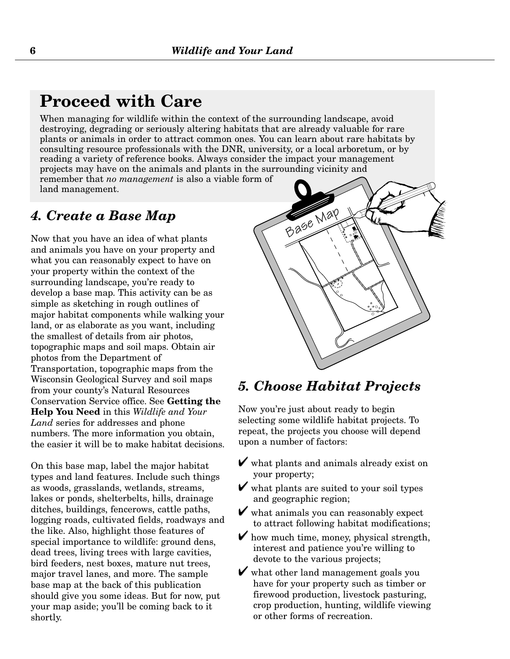## **Proceed with Care**

When managing for wildlife within the context of the surrounding landscape, avoid destroying, degrading or seriously altering habitats that are already valuable for rare plants or animals in order to attract common ones. You can learn about rare habitats by consulting resource professionals with the DNR, university, or a local arboretum, or by reading a variety of reference books. Always consider the impact your management projects may have on the animals and plants in the surrounding vicinity and remember that *no management* is also a viable form of land management.

#### *4. Create a Base Map*

Now that you have an idea of what plants and animals you have on your property and what you can reasonably expect to have on your property within the context of the surrounding landscape, you're ready to develop a base map. This activity can be as simple as sketching in rough outlines of major habitat components while walking your land, or as elaborate as you want, including the smallest of details from air photos, topographic maps and soil maps. Obtain air photos from the Department of Transportation, topographic maps from the Wisconsin Geological Survey and soil maps from your county's Natural Resources Conservation Service office. See **Getting the Help You Need** in this *Wildlife and Your Land* series for addresses and phone numbers. The more information you obtain, the easier it will be to make habitat decisions.

On this base map, label the major habitat types and land features. Include such things as woods, grasslands, wetlands, streams, lakes or ponds, shelterbelts, hills, drainage ditches, buildings, fencerows, cattle paths, logging roads, cultivated fields, roadways and the like. Also, highlight those features of special importance to wildlife: ground dens, dead trees, living trees with large cavities, bird feeders, nest boxes, mature nut trees, major travel lanes, and more. The sample base map at the back of this publication should give you some ideas. But for now, put your map aside; you'll be coming back to it shortly.



### *5. Choose Habitat Projects*

Now you're just about ready to begin selecting some wildlife habitat projects. To repeat, the projects you choose will depend upon a number of factors:

- $\triangledown$  what plants and animals already exist on your property;
- $\triangledown$  what plants are suited to your soil types and geographic region;
- $\triangledown$  what animals you can reasonably expect to attract following habitat modifications;
- $\triangledown$  how much time, money, physical strength, interest and patience you're willing to devote to the various projects;
- $\boldsymbol{\checkmark}$  what other land management goals you have for your property such as timber or firewood production, livestock pasturing, crop production, hunting, wildlife viewing or other forms of recreation.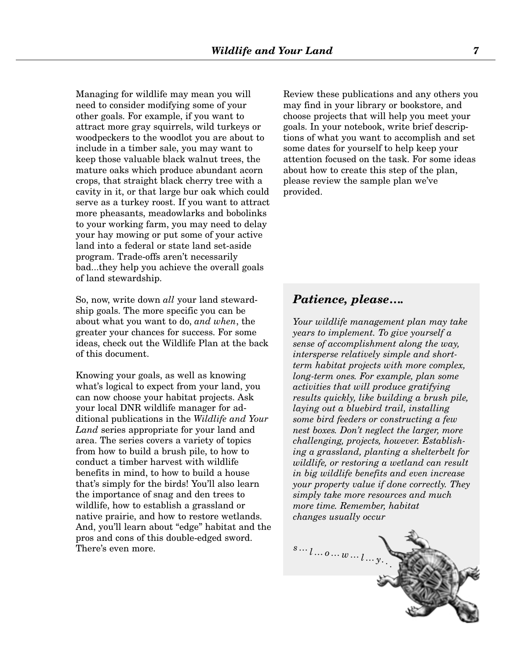Managing for wildlife may mean you will need to consider modifying some of your other goals. For example, if you want to attract more gray squirrels, wild turkeys or woodpeckers to the woodlot you are about to include in a timber sale, you may want to keep those valuable black walnut trees, the mature oaks which produce abundant acorn crops, that straight black cherry tree with a cavity in it, or that large bur oak which could serve as a turkey roost. If you want to attract more pheasants, meadowlarks and bobolinks to your working farm, you may need to delay your hay mowing or put some of your active land into a federal or state land set-aside program. Trade-offs aren't necessarily bad...they help you achieve the overall goals of land stewardship.

So, now, write down *all* your land stewardship goals. The more specific you can be about what you want to do, *and when*, the greater your chances for success. For some ideas, check out the Wildlife Plan at the back of this document.

Knowing your goals, as well as knowing what's logical to expect from your land, you can now choose your habitat projects. Ask your local DNR wildlife manager for additional publications in the *Wildlife and Your Land* series appropriate for your land and area. The series covers a variety of topics from how to build a brush pile, to how to conduct a timber harvest with wildlife benefits in mind, to how to build a house that's simply for the birds! You'll also learn the importance of snag and den trees to wildlife, how to establish a grassland or native prairie, and how to restore wetlands. And, you'll learn about "edge" habitat and the pros and cons of this double-edged sword. There's even more.

Review these publications and any others you may find in your library or bookstore, and choose projects that will help you meet your goals. In your notebook, write brief descriptions of what you want to accomplish and set some dates for yourself to help keep your attention focused on the task. For some ideas about how to create this step of the plan, please review the sample plan we've provided.

#### *Patience, please….*

*Your wildlife management plan may take years to implement. To give yourself a sense of accomplishment along the way, intersperse relatively simple and shortterm habitat projects with more complex, long-term ones. For example, plan some activities that will produce gratifying results quickly, like building a brush pile, laying out a bluebird trail, installing some bird feeders or constructing a few nest boxes. Don't neglect the larger, more challenging, projects, however. Establishing a grassland, planting a shelterbelt for wildlife, or restoring a wetland can result in big wildlife benefits and even increase your property value if done correctly. They simply take more resources and much more time. Remember, habitat changes usually occur* 

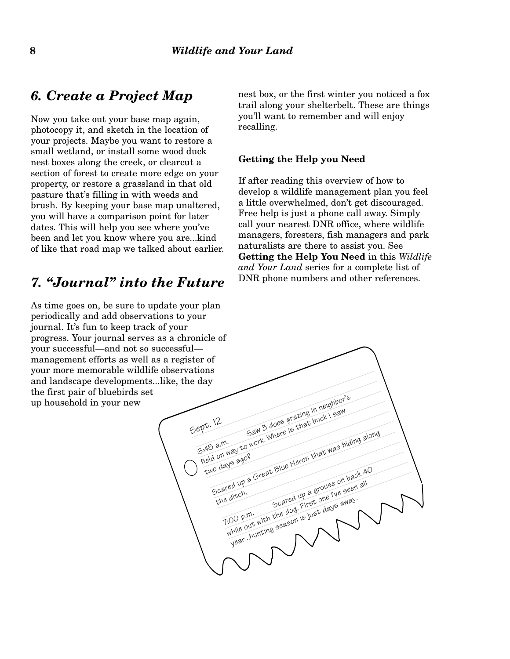#### *6. Create a Project Map*

Now you take out your base map again, photocopy it, and sketch in the location of your projects. Maybe you want to restore a small wetland, or install some wood duck nest boxes along the creek, or clearcut a section of forest to create more edge on your property, or restore a grassland in that old pasture that's filling in with weeds and brush. By keeping your base map unaltered, you will have a comparison point for later dates. This will help you see where you've been and let you know where you are...kind of like that road map we talked about earlier.

#### *7. "Journal" into the Future*

As time goes on, be sure to update your plan periodically and add observations to your journal. It's fun to keep track of your progress. Your journal serves as a chronicle of your successful—and not so successful management efforts as well as a register of your more memorable wildlife observations and landscape developments...like, the day the first pair of bluebirds set up household in your new

nest box, or the first winter you noticed a fox trail along your shelterbelt. These are things you'll want to remember and will enjoy recalling.

#### **Getting the Help you Need**

If after reading this overview of how to develop a wildlife management plan you feel a little overwhelmed, don't get discouraged. Free help is just a phone call away. Simply call your nearest DNR office, where wildlife managers, foresters, fish managers and park naturalists are there to assist you. See **Getting the Help You Need** in this *Wildlife and Your Land* series for a complete list of DNR phone numbers and other references.

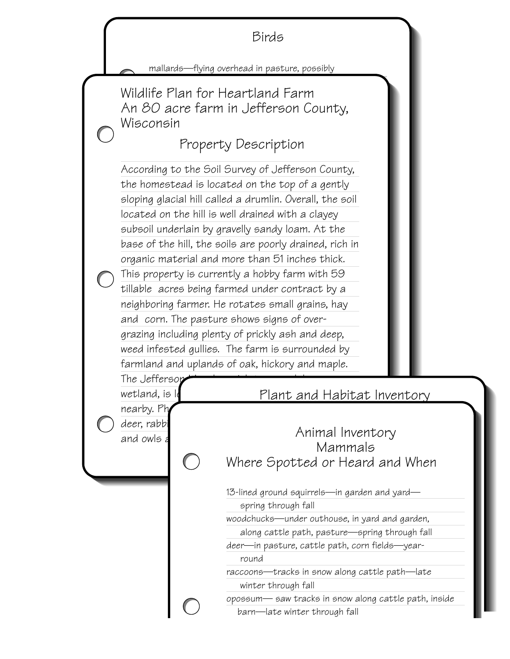

mallards—flying overhead in pasture, possibly

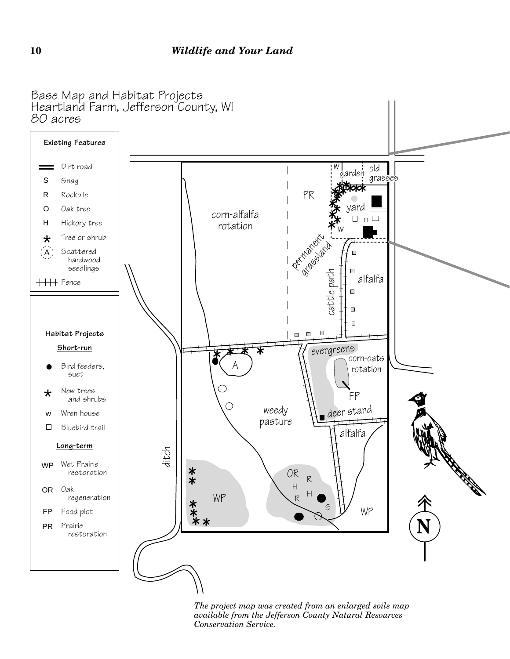

*The project map was created from an enlarged soils map available from the Jefferson County Natural Resources Conservation Service.*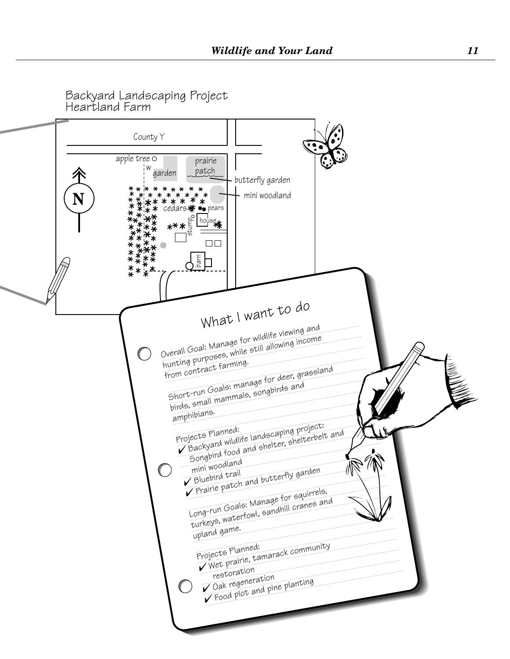Backyard Landscaping Project Heartland Farm

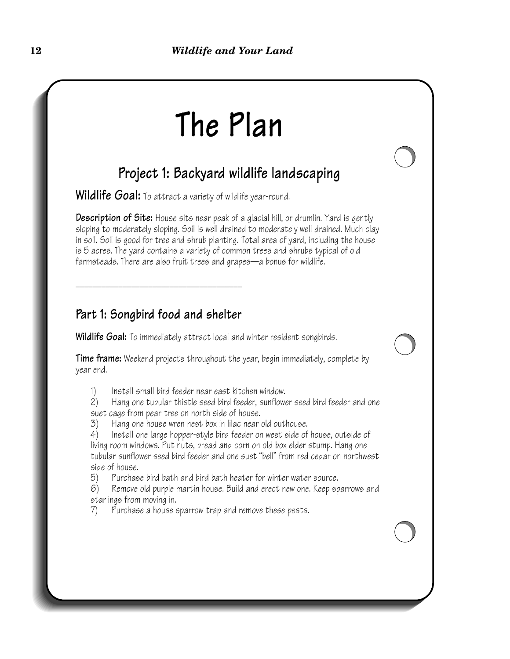# **The Plan**

## **Project 1: Backyard wildlife landscaping**

Wildlife Goal: To attract a variety of wildlife year-round.

**Description of Site:** House sits near peak of a glacial hill, or drumlin. Yard is gently sloping to moderately sloping. Soil is well drained to moderately well drained. Much clay in soil. Soil is good for tree and shrub planting. Total area of yard, including the house is 5 acres. The yard contains a variety of common trees and shrubs typical of old farmsteads. There are also fruit trees and grapes—a bonus for wildlife.

#### **Part 1: Songbird food and shelter**

\_\_\_\_\_\_\_\_\_\_\_\_\_\_\_\_\_\_\_\_\_\_\_\_\_\_\_\_\_\_\_\_\_\_\_\_\_\_\_

**Wildlife Goal:** To immediately attract local and winter resident songbirds.

**Time frame:** Weekend projects throughout the year, begin immediately, complete by year end.

1) Install small bird feeder near east kitchen window.

2) Hang one tubular thistle seed bird feeder, sunflower seed bird feeder and one suet cage from pear tree on north side of house.

3) Hang one house wren nest box in lilac near old outhouse.

4) Install one large hopper-style bird feeder on west side of house, outside of living room windows. Put nuts, bread and corn on old box elder stump. Hang one tubular sunflower seed bird feeder and one suet "bell" from red cedar on northwest side of house.

5) Purchase bird bath and bird bath heater for winter water source.

6) Remove old purple martin house. Build and erect new one. Keep sparrows and starlings from moving in.

7) Purchase a house sparrow trap and remove these pests.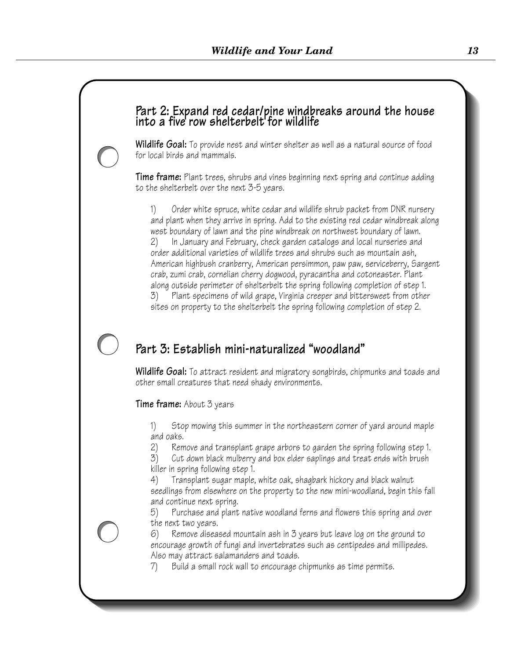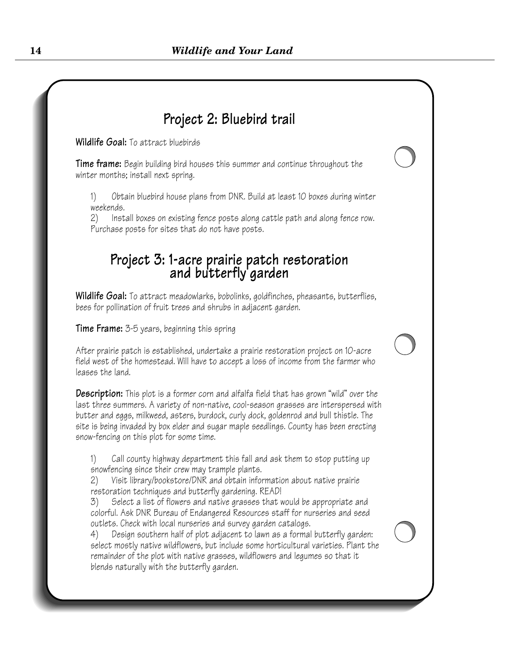## **Project 2: Bluebird trail**

**Wildlife Goal:** To attract bluebirds

**Time frame:** Begin building bird houses this summer and continue throughout the winter months; install next spring.

1) Obtain bluebird house plans from DNR. Build at least 10 boxes during winter weekends.

2) Install boxes on existing fence posts along cattle path and along fence row. Purchase posts for sites that do not have posts.

## **Project 3: 1-acre prairie patch restoration and butterfly garden**

**Wildlife Goal:** To attract meadowlarks, bobolinks, goldfinches, pheasants, butterflies, bees for pollination of fruit trees and shrubs in adjacent garden.

**Time Frame:** 3-5 years, beginning this spring

After prairie patch is established, undertake a prairie restoration project on 10-acre field west of the homestead. Will have to accept a loss of income from the farmer who leases the land.

**Description:** This plot is a former corn and alfalfa field that has grown "wild" over the last three summers. A variety of non-native, cool-season grasses are interspersed with butter and eggs, milkweed, asters, burdock, curly dock, goldenrod and bull thistle. The site is being invaded by box elder and sugar maple seedlings. County has been erecting snow-fencing on this plot for some time.

1) Call county highway department this fall and ask them to stop putting up snowfencing since their crew may trample plants.

2) Visit library/bookstore/DNR and obtain information about native prairie restoration techniques and butterfly gardening. READ!

3) Select a list of flowers and native grasses that would be appropriate and colorful. Ask DNR Bureau of Endangered Resources staff for nurseries and seed outlets. Check with local nurseries and survey garden catalogs.

4) Design southern half of plot adjacent to lawn as a formal butterfly garden: select mostly native wildflowers, but include some horticultural varieties. Plant the remainder of the plot with native grasses, wildflowers and legumes so that it blends naturally with the butterfly garden.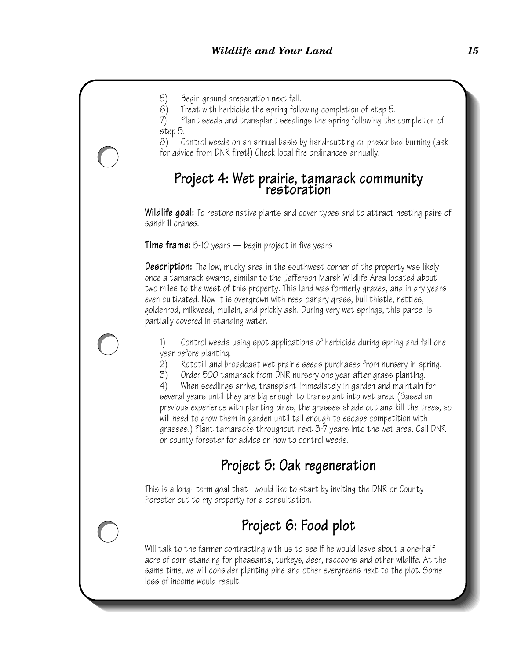